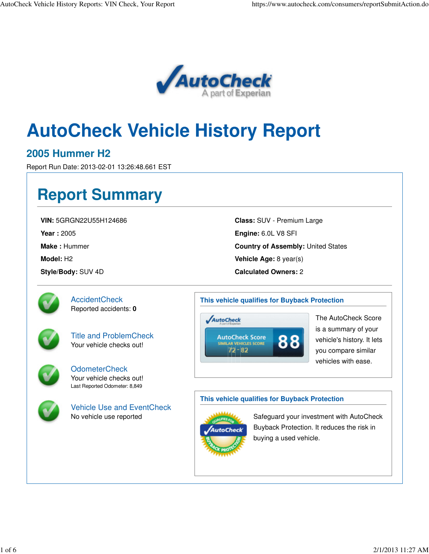

# **AutoCheck Vehicle History Report**

### **2005 Hummer H2**

Report Run Date: 2013-02-01 13:26:48.661 EST

## **Report Summary**

**VIN:** 5GRGN22U55H124686

**Year :** 2005

**Make :** Hummer

**Model:** H2

**Style/Body:** SUV 4D

**Class:** SUV - Premium Large **Engine:** 6.0L V8 SFI **Country of Assembly:** United States **Vehicle Age:** 8 year(s) **Calculated Owners:** 2



**AccidentCheck** Reported accidents: **0**



Title and ProblemCheck Your vehicle checks out!



OdometerCheck Your vehicle checks out! Last Reported Odometer: 8,849



Vehicle Use and EventCheck No vehicle use reported

#### **This vehicle qualifies for Buyback Protection**



The AutoCheck Score is a summary of your vehicle's history. It lets you compare similar vehicles with ease.

#### **This vehicle qualifies for Buyback Protection**



Safeguard your investment with AutoCheck Buyback Protection. It reduces the risk in buying a used vehicle.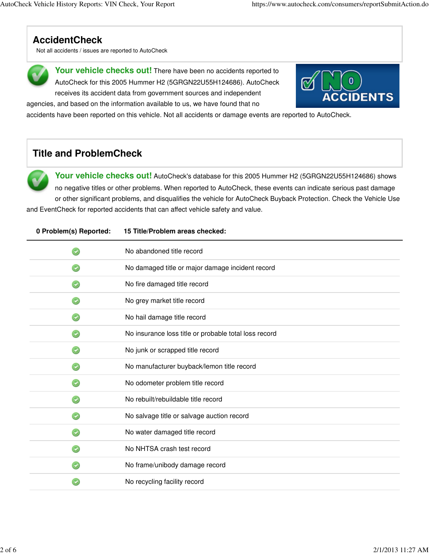## **AccidentCheck**

Not all accidents / issues are reported to AutoCheck



Your vehicle checks out! There have been no accidents reported to AutoCheck for this 2005 Hummer H2 (5GRGN22U55H124686). AutoCheck receives its accident data from government sources and independent



accidents have been reported on this vehicle. Not all accidents or damage events are reported to AutoCheck.

## **Title and ProblemCheck**

**Your vehicle checks out!** AutoCheck's database for this 2005 Hummer H2 (5GRGN22U55H124686) shows no negative titles or other problems. When reported to AutoCheck, these events can indicate serious past damage or other significant problems, and disqualifies the vehicle for AutoCheck Buyback Protection. Check the Vehicle Use

and EventCheck for reported accidents that can affect vehicle safety and value.

agencies, and based on the information available to us, we have found that no

| 0 Problem(s) Reported: | 15 Title/Problem areas checked:                       |  |
|------------------------|-------------------------------------------------------|--|
|                        | No abandoned title record                             |  |
|                        | No damaged title or major damage incident record      |  |
|                        | No fire damaged title record                          |  |
|                        | No grey market title record                           |  |
|                        | No hail damage title record                           |  |
|                        | No insurance loss title or probable total loss record |  |
|                        | No junk or scrapped title record                      |  |
|                        | No manufacturer buyback/lemon title record            |  |
|                        | No odometer problem title record                      |  |
|                        | No rebuilt/rebuildable title record                   |  |
|                        | No salvage title or salvage auction record            |  |
|                        | No water damaged title record                         |  |
|                        | No NHTSA crash test record                            |  |
|                        | No frame/unibody damage record                        |  |
|                        | No recycling facility record                          |  |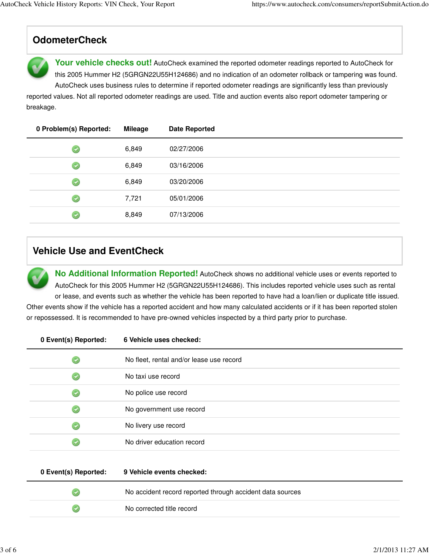## **OdometerCheck**

Your vehicle checks out! AutoCheck examined the reported odometer readings reported to AutoCheck for this 2005 Hummer H2 (5GRGN22U55H124686) and no indication of an odometer rollback or tampering was found. AutoCheck uses business rules to determine if reported odometer readings are significantly less than previously

reported values. Not all reported odometer readings are used. Title and auction events also report odometer tampering or breakage.

| 0 Problem(s) Reported:              | <b>Mileage</b> | <b>Date Reported</b> |
|-------------------------------------|----------------|----------------------|
| $\left( \blacktriangledown \right)$ | 6,849          | 02/27/2006           |
| $\left( \bullet \right)$            | 6,849          | 03/16/2006           |
| $\left( \bullet \right)$            | 6,849          | 03/20/2006           |
| $\left( \bigtriangledown \right)$   | 7,721          | 05/01/2006           |
|                                     | 8,849          | 07/13/2006           |

## **Vehicle Use and EventCheck**

**No Additional Information Reported!** AutoCheck shows no additional vehicle uses or events reported to AutoCheck for this 2005 Hummer H2 (5GRGN22U55H124686). This includes reported vehicle uses such as rental or lease, and events such as whether the vehicle has been reported to have had a loan/lien or duplicate title issued.

Other events show if the vehicle has a reported accident and how many calculated accidents or if it has been reported stolen or repossessed. It is recommended to have pre-owned vehicles inspected by a third party prior to purchase.

| 0 Event(s) Reported: | 6 Vehicle uses checked:                  |  |
|----------------------|------------------------------------------|--|
|                      | No fleet, rental and/or lease use record |  |
|                      | No taxi use record                       |  |
|                      | No police use record                     |  |
|                      | No government use record                 |  |
|                      | No livery use record                     |  |
|                      | No driver education record               |  |
|                      |                                          |  |

| 0 Event(s) Reported: | 9 Vehicle events checked:                                 |  |
|----------------------|-----------------------------------------------------------|--|
|                      | No accident record reported through accident data sources |  |
|                      | No corrected title record                                 |  |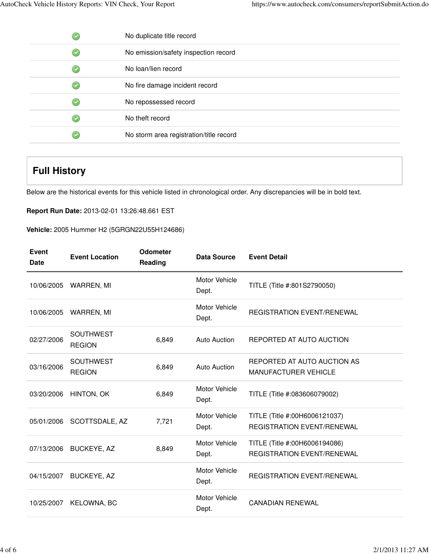| No duplicate title record               |
|-----------------------------------------|
| No emission/safety inspection record    |
| No loan/lien record                     |
| No fire damage incident record          |
| No repossessed record                   |
| No theft record                         |
| No storm area registration/title record |

## **Full History**

Below are the historical events for this vehicle listed in chronological order. Any discrepancies will be in bold text.

**Report Run Date:** 2013-02-01 13:26:48.661 EST

**Vehicle:** 2005 Hummer H2 (5GRGN22U55H124686)

| <b>Event</b><br><b>Date</b> | <b>Event Location</b>             | <b>Odometer</b><br>Reading | Data Source                   | <b>Event Detail</b>                                                |
|-----------------------------|-----------------------------------|----------------------------|-------------------------------|--------------------------------------------------------------------|
| 10/06/2005                  | WARREN, MI                        |                            | <b>Motor Vehicle</b><br>Dept. | TITLE (Title #:801S2790050)                                        |
| 10/06/2005                  | WARREN, MI                        |                            | Motor Vehicle<br>Dept.        | <b>REGISTRATION EVENT/RENEWAL</b>                                  |
| 02/27/2006                  | <b>SOUTHWEST</b><br><b>REGION</b> | 6,849                      | Auto Auction                  | REPORTED AT AUTO AUCTION                                           |
| 03/16/2006                  | <b>SOUTHWEST</b><br><b>REGION</b> | 6,849                      | <b>Auto Auction</b>           | REPORTED AT AUTO AUCTION AS<br><b>MANUFACTURER VEHICLE</b>         |
| 03/20/2006                  | HINTON, OK                        | 6,849                      | Motor Vehicle<br>Dept.        | TITLE (Title #:083606079002)                                       |
| 05/01/2006                  | SCOTTSDALE, AZ                    | 7,721                      | Motor Vehicle<br>Dept.        | TITLE (Title #:00H6006121037)<br><b>REGISTRATION EVENT/RENEWAL</b> |
| 07/13/2006                  | <b>BUCKEYE, AZ</b>                | 8,849                      | Motor Vehicle<br>Dept.        | TITLE (Title #:00H6006194086)<br><b>REGISTRATION EVENT/RENEWAL</b> |
| 04/15/2007                  | <b>BUCKEYE, AZ</b>                |                            | Motor Vehicle<br>Dept.        | <b>REGISTRATION EVENT/RENEWAL</b>                                  |
| 10/25/2007                  | <b>KELOWNA, BC</b>                |                            | Motor Vehicle<br>Dept.        | <b>CANADIAN RENEWAL</b>                                            |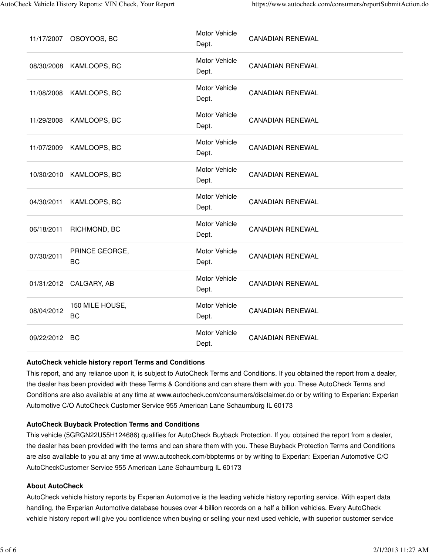| 11/17/2007    | OSOYOOS, BC                  | Motor Vehicle<br>Dept.        | <b>CANADIAN RENEWAL</b> |
|---------------|------------------------------|-------------------------------|-------------------------|
| 08/30/2008    | KAMLOOPS, BC                 | <b>Motor Vehicle</b><br>Dept. | <b>CANADIAN RENEWAL</b> |
| 11/08/2008    | KAMLOOPS, BC                 | Motor Vehicle<br>Dept.        | <b>CANADIAN RENEWAL</b> |
| 11/29/2008    | KAMLOOPS, BC                 | Motor Vehicle<br>Dept.        | <b>CANADIAN RENEWAL</b> |
| 11/07/2009    | KAMLOOPS, BC                 | <b>Motor Vehicle</b><br>Dept. | <b>CANADIAN RENEWAL</b> |
| 10/30/2010    | KAMLOOPS, BC                 | Motor Vehicle<br>Dept.        | <b>CANADIAN RENEWAL</b> |
| 04/30/2011    | KAMLOOPS, BC                 | Motor Vehicle<br>Dept.        | <b>CANADIAN RENEWAL</b> |
| 06/18/2011    | RICHMOND, BC                 | Motor Vehicle<br>Dept.        | <b>CANADIAN RENEWAL</b> |
| 07/30/2011    | PRINCE GEORGE,<br><b>BC</b>  | Motor Vehicle<br>Dept.        | <b>CANADIAN RENEWAL</b> |
|               | 01/31/2012 CALGARY, AB       | Motor Vehicle<br>Dept.        | <b>CANADIAN RENEWAL</b> |
| 08/04/2012    | 150 MILE HOUSE,<br><b>BC</b> | Motor Vehicle<br>Dept.        | <b>CANADIAN RENEWAL</b> |
| 09/22/2012 BC |                              | Motor Vehicle<br>Dept.        | <b>CANADIAN RENEWAL</b> |

#### **AutoCheck vehicle history report Terms and Conditions**

This report, and any reliance upon it, is subject to AutoCheck Terms and Conditions. If you obtained the report from a dealer, the dealer has been provided with these Terms & Conditions and can share them with you. These AutoCheck Terms and Conditions are also available at any time at www.autocheck.com/consumers/disclaimer.do or by writing to Experian: Experian Automotive C/O AutoCheck Customer Service 955 American Lane Schaumburg IL 60173

#### **AutoCheck Buyback Protection Terms and Conditions**

This vehicle (5GRGN22U55H124686) qualifies for AutoCheck Buyback Protection. If you obtained the report from a dealer, the dealer has been provided with the terms and can share them with you. These Buyback Protection Terms and Conditions are also available to you at any time at www.autocheck.com/bbpterms or by writing to Experian: Experian Automotive C/O AutoCheckCustomer Service 955 American Lane Schaumburg IL 60173

#### **About AutoCheck**

AutoCheck vehicle history reports by Experian Automotive is the leading vehicle history reporting service. With expert data handling, the Experian Automotive database houses over 4 billion records on a half a billion vehicles. Every AutoCheck vehicle history report will give you confidence when buying or selling your next used vehicle, with superior customer service